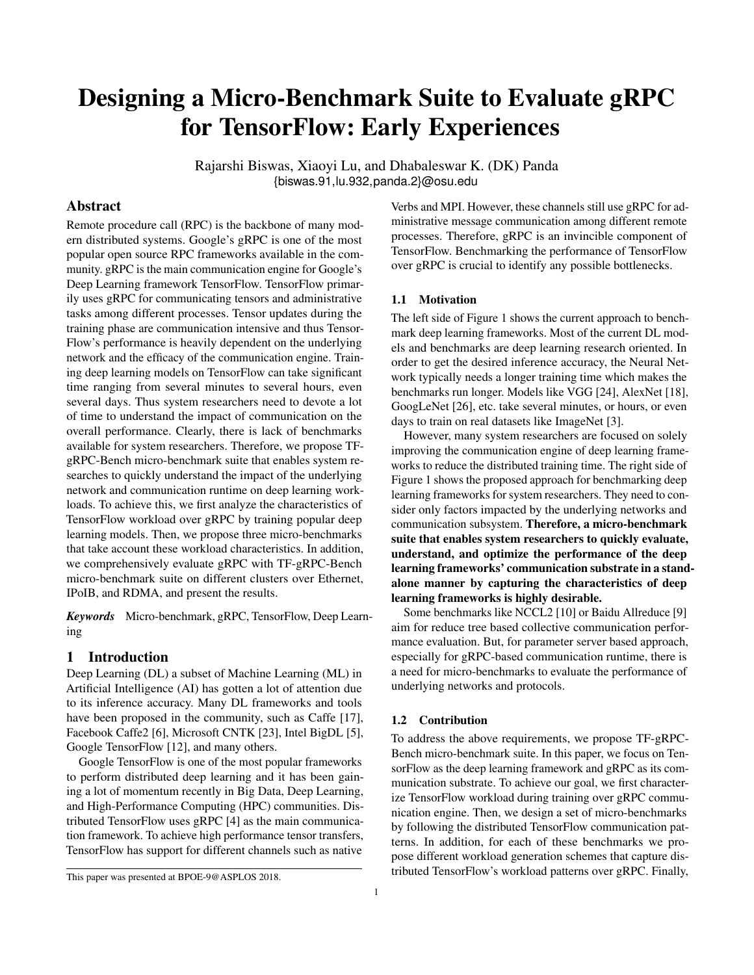# Designing a Micro-Benchmark Suite to Evaluate gRPC for TensorFlow: Early Experiences

Rajarshi Biswas, Xiaoyi Lu, and Dhabaleswar K. (DK) Panda {biswas.91,lu.932,panda.2}@osu.edu

# Abstract

Remote procedure call (RPC) is the backbone of many modern distributed systems. Google's gRPC is one of the most popular open source RPC frameworks available in the community. gRPC is the main communication engine for Google's Deep Learning framework TensorFlow. TensorFlow primarily uses gRPC for communicating tensors and administrative tasks among different processes. Tensor updates during the training phase are communication intensive and thus Tensor-Flow's performance is heavily dependent on the underlying network and the efficacy of the communication engine. Training deep learning models on TensorFlow can take significant time ranging from several minutes to several hours, even several days. Thus system researchers need to devote a lot of time to understand the impact of communication on the overall performance. Clearly, there is lack of benchmarks available for system researchers. Therefore, we propose TFgRPC-Bench micro-benchmark suite that enables system researches to quickly understand the impact of the underlying network and communication runtime on deep learning workloads. To achieve this, we first analyze the characteristics of TensorFlow workload over gRPC by training popular deep learning models. Then, we propose three micro-benchmarks that take account these workload characteristics. In addition, we comprehensively evaluate gRPC with TF-gRPC-Bench micro-benchmark suite on different clusters over Ethernet, IPoIB, and RDMA, and present the results.

*Keywords* Micro-benchmark, gRPC, TensorFlow, Deep Learning

# 1 Introduction

Deep Learning (DL) a subset of Machine Learning (ML) in Artificial Intelligence (AI) has gotten a lot of attention due to its inference accuracy. Many DL frameworks and tools have been proposed in the community, such as Caffe [17], Facebook Caffe2 [6], Microsoft CNTK [23], Intel BigDL [5], Google TensorFlow [12], and many others.

Google TensorFlow is one of the most popular frameworks to perform distributed deep learning and it has been gaining a lot of momentum recently in Big Data, Deep Learning, and High-Performance Computing (HPC) communities. Distributed TensorFlow uses gRPC [4] as the main communication framework. To achieve high performance tensor transfers, TensorFlow has support for different channels such as native

Verbs and MPI. However, these channels still use gRPC for administrative message communication among different remote processes. Therefore, gRPC is an invincible component of TensorFlow. Benchmarking the performance of TensorFlow over gRPC is crucial to identify any possible bottlenecks.

#### 1.1 Motivation

The left side of Figure 1 shows the current approach to benchmark deep learning frameworks. Most of the current DL models and benchmarks are deep learning research oriented. In order to get the desired inference accuracy, the Neural Network typically needs a longer training time which makes the benchmarks run longer. Models like VGG [24], AlexNet [18], GoogLeNet [26], etc. take several minutes, or hours, or even days to train on real datasets like ImageNet [3].

However, many system researchers are focused on solely improving the communication engine of deep learning frameworks to reduce the distributed training time. The right side of Figure 1 shows the proposed approach for benchmarking deep learning frameworks for system researchers. They need to consider only factors impacted by the underlying networks and communication subsystem. Therefore, a micro-benchmark suite that enables system researchers to quickly evaluate, understand, and optimize the performance of the deep learning frameworks' communication substrate in a standalone manner by capturing the characteristics of deep learning frameworks is highly desirable.

Some benchmarks like NCCL2 [10] or Baidu Allreduce [9] aim for reduce tree based collective communication performance evaluation. But, for parameter server based approach, especially for gRPC-based communication runtime, there is a need for micro-benchmarks to evaluate the performance of underlying networks and protocols.

#### 1.2 Contribution

To address the above requirements, we propose TF-gRPC-Bench micro-benchmark suite. In this paper, we focus on TensorFlow as the deep learning framework and gRPC as its communication substrate. To achieve our goal, we first characterize TensorFlow workload during training over gRPC communication engine. Then, we design a set of micro-benchmarks by following the distributed TensorFlow communication patterns. In addition, for each of these benchmarks we propose different workload generation schemes that capture distributed TensorFlow's workload patterns over gRPC. Finally,

This paper was presented at BPOE-9@ASPLOS 2018.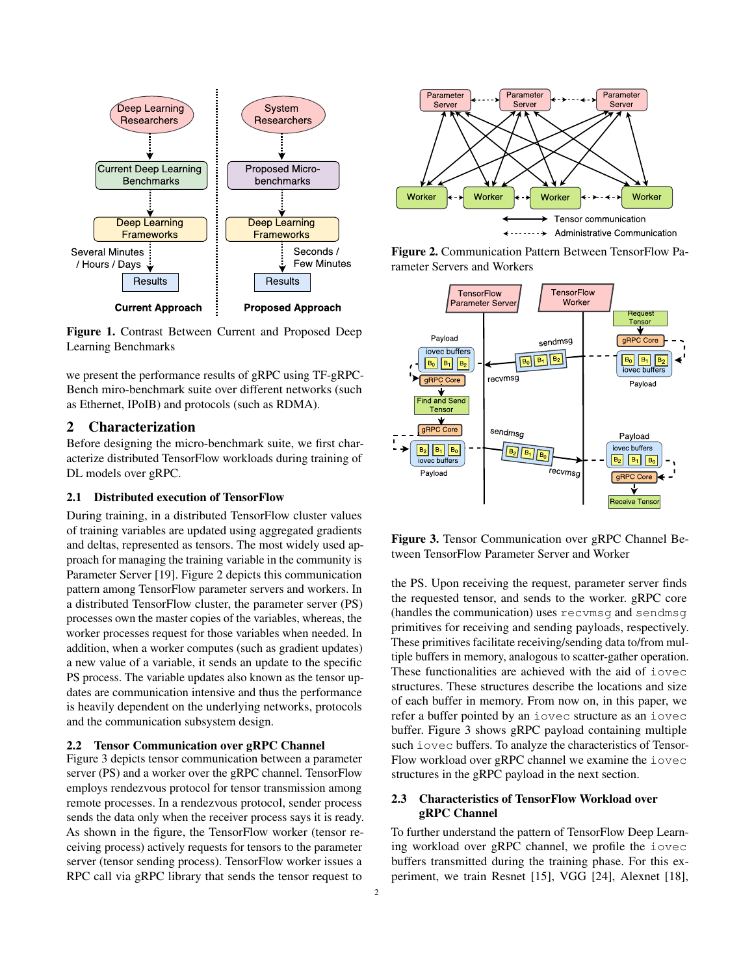

Figure 1. Contrast Between Current and Proposed Deep Learning Benchmarks

we present the performance results of gRPC using TF-gRPC-Bench miro-benchmark suite over different networks (such as Ethernet, IPoIB) and protocols (such as RDMA).

# 2 Characterization

Before designing the micro-benchmark suite, we first characterize distributed TensorFlow workloads during training of DL models over gRPC.

#### 2.1 Distributed execution of TensorFlow

During training, in a distributed TensorFlow cluster values of training variables are updated using aggregated gradients and deltas, represented as tensors. The most widely used approach for managing the training variable in the community is Parameter Server [19]. Figure 2 depicts this communication pattern among TensorFlow parameter servers and workers. In a distributed TensorFlow cluster, the parameter server (PS) processes own the master copies of the variables, whereas, the worker processes request for those variables when needed. In addition, when a worker computes (such as gradient updates) a new value of a variable, it sends an update to the specific PS process. The variable updates also known as the tensor updates are communication intensive and thus the performance is heavily dependent on the underlying networks, protocols and the communication subsystem design.

#### 2.2 Tensor Communication over gRPC Channel

Figure 3 depicts tensor communication between a parameter server (PS) and a worker over the gRPC channel. TensorFlow employs rendezvous protocol for tensor transmission among remote processes. In a rendezvous protocol, sender process sends the data only when the receiver process says it is ready. As shown in the figure, the TensorFlow worker (tensor receiving process) actively requests for tensors to the parameter server (tensor sending process). TensorFlow worker issues a RPC call via gRPC library that sends the tensor request to







Figure 3. Tensor Communication over gRPC Channel Between TensorFlow Parameter Server and Worker

the PS. Upon receiving the request, parameter server finds the requested tensor, and sends to the worker. gRPC core (handles the communication) uses recvmsg and sendmsg primitives for receiving and sending payloads, respectively. These primitives facilitate receiving/sending data to/from multiple buffers in memory, analogous to scatter-gather operation. These functionalities are achieved with the aid of iovec structures. These structures describe the locations and size of each buffer in memory. From now on, in this paper, we refer a buffer pointed by an iovec structure as an iovec buffer. Figure 3 shows gRPC payload containing multiple such iovec buffers. To analyze the characteristics of Tensor-Flow workload over gRPC channel we examine the iovec structures in the gRPC payload in the next section.

# 2.3 Characteristics of TensorFlow Workload over gRPC Channel

To further understand the pattern of TensorFlow Deep Learning workload over gRPC channel, we profile the iovec buffers transmitted during the training phase. For this experiment, we train Resnet [15], VGG [24], Alexnet [18],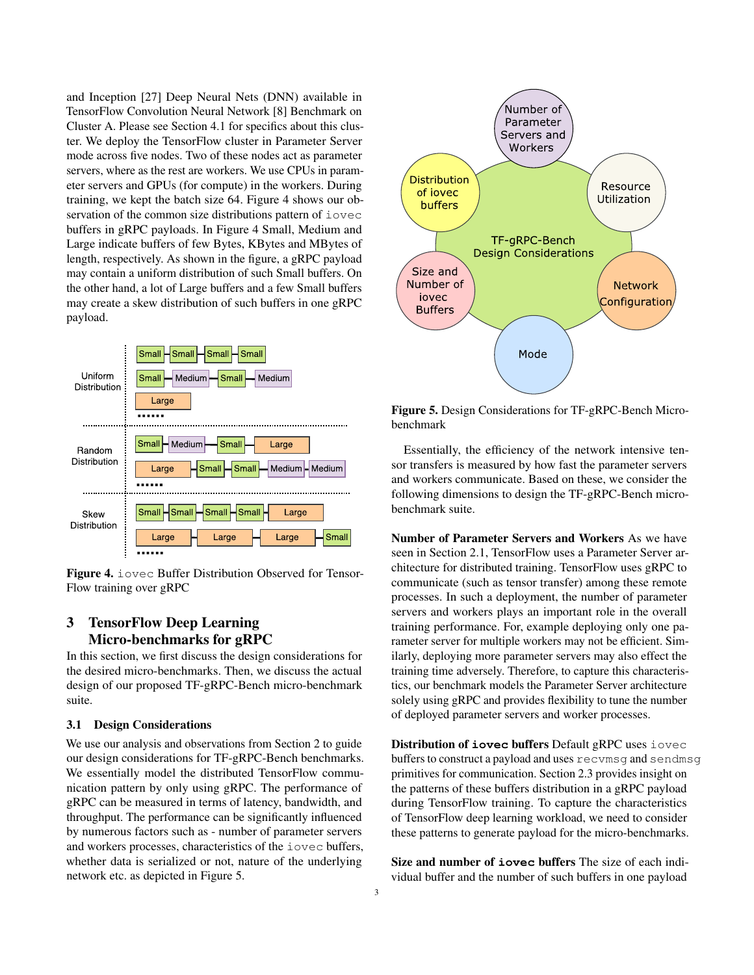and Inception [27] Deep Neural Nets (DNN) available in TensorFlow Convolution Neural Network [8] Benchmark on Cluster A. Please see Section 4.1 for specifics about this cluster. We deploy the TensorFlow cluster in Parameter Server mode across five nodes. Two of these nodes act as parameter servers, where as the rest are workers. We use CPUs in parameter servers and GPUs (for compute) in the workers. During training, we kept the batch size 64. Figure 4 shows our observation of the common size distributions pattern of iovec buffers in gRPC payloads. In Figure 4 Small, Medium and Large indicate buffers of few Bytes, KBytes and MBytes of length, respectively. As shown in the figure, a gRPC payload may contain a uniform distribution of such Small buffers. On the other hand, a lot of Large buffers and a few Small buffers may create a skew distribution of such buffers in one gRPC payload.



Figure 4. iovec Buffer Distribution Observed for Tensor-Flow training over gRPC

# 3 TensorFlow Deep Learning Micro-benchmarks for gRPC

In this section, we first discuss the design considerations for the desired micro-benchmarks. Then, we discuss the actual design of our proposed TF-gRPC-Bench micro-benchmark suite.

#### 3.1 Design Considerations

We use our analysis and observations from Section 2 to guide our design considerations for TF-gRPC-Bench benchmarks. We essentially model the distributed TensorFlow communication pattern by only using gRPC. The performance of gRPC can be measured in terms of latency, bandwidth, and throughput. The performance can be significantly influenced by numerous factors such as - number of parameter servers and workers processes, characteristics of the iovec buffers, whether data is serialized or not, nature of the underlying network etc. as depicted in Figure 5.



Figure 5. Design Considerations for TF-gRPC-Bench Microbenchmark

Essentially, the efficiency of the network intensive tensor transfers is measured by how fast the parameter servers and workers communicate. Based on these, we consider the following dimensions to design the TF-gRPC-Bench microbenchmark suite.

Number of Parameter Servers and Workers As we have seen in Section 2.1, TensorFlow uses a Parameter Server architecture for distributed training. TensorFlow uses gRPC to communicate (such as tensor transfer) among these remote processes. In such a deployment, the number of parameter servers and workers plays an important role in the overall training performance. For, example deploying only one parameter server for multiple workers may not be efficient. Similarly, deploying more parameter servers may also effect the training time adversely. Therefore, to capture this characteristics, our benchmark models the Parameter Server architecture solely using gRPC and provides flexibility to tune the number of deployed parameter servers and worker processes.

Distribution of **iovec** buffers Default gRPC uses iovec buffers to construct a payload and uses recvmsg and sendmsg primitives for communication. Section 2.3 provides insight on the patterns of these buffers distribution in a gRPC payload during TensorFlow training. To capture the characteristics of TensorFlow deep learning workload, we need to consider these patterns to generate payload for the micro-benchmarks.

Size and number of **iovec** buffers The size of each individual buffer and the number of such buffers in one payload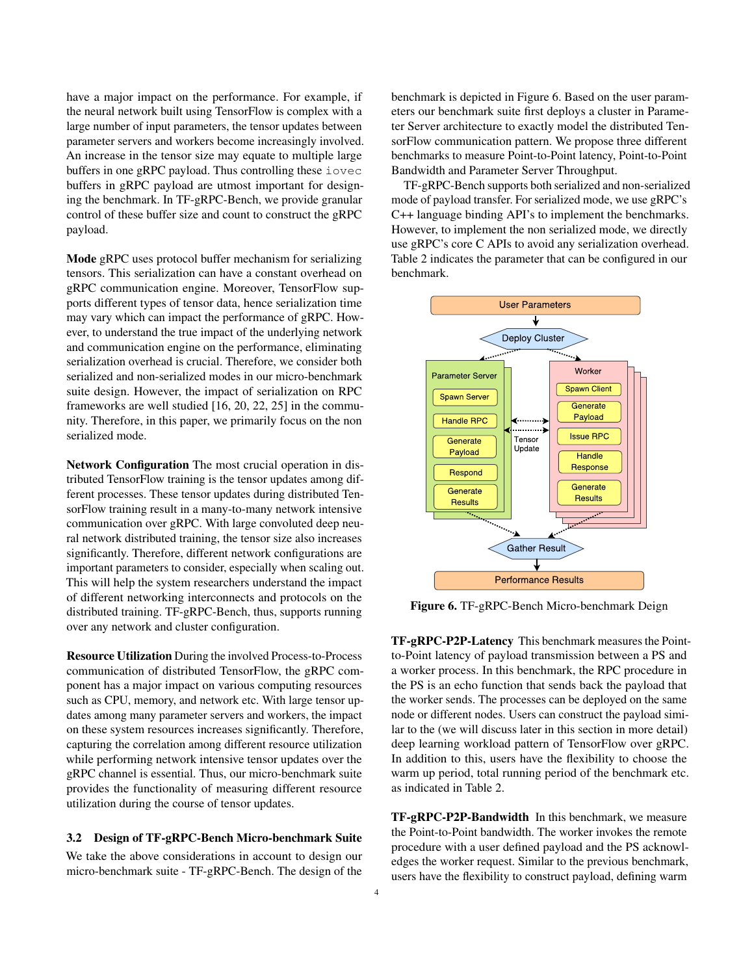have a major impact on the performance. For example, if the neural network built using TensorFlow is complex with a large number of input parameters, the tensor updates between parameter servers and workers become increasingly involved. An increase in the tensor size may equate to multiple large buffers in one gRPC payload. Thus controlling these iovec buffers in gRPC payload are utmost important for designing the benchmark. In TF-gRPC-Bench, we provide granular control of these buffer size and count to construct the gRPC payload.

Mode gRPC uses protocol buffer mechanism for serializing tensors. This serialization can have a constant overhead on gRPC communication engine. Moreover, TensorFlow supports different types of tensor data, hence serialization time may vary which can impact the performance of gRPC. However, to understand the true impact of the underlying network and communication engine on the performance, eliminating serialization overhead is crucial. Therefore, we consider both serialized and non-serialized modes in our micro-benchmark suite design. However, the impact of serialization on RPC frameworks are well studied [16, 20, 22, 25] in the community. Therefore, in this paper, we primarily focus on the non serialized mode.

Network Configuration The most crucial operation in distributed TensorFlow training is the tensor updates among different processes. These tensor updates during distributed TensorFlow training result in a many-to-many network intensive communication over gRPC. With large convoluted deep neural network distributed training, the tensor size also increases significantly. Therefore, different network configurations are important parameters to consider, especially when scaling out. This will help the system researchers understand the impact of different networking interconnects and protocols on the distributed training. TF-gRPC-Bench, thus, supports running over any network and cluster configuration.

Resource Utilization During the involved Process-to-Process communication of distributed TensorFlow, the gRPC component has a major impact on various computing resources such as CPU, memory, and network etc. With large tensor updates among many parameter servers and workers, the impact on these system resources increases significantly. Therefore, capturing the correlation among different resource utilization while performing network intensive tensor updates over the gRPC channel is essential. Thus, our micro-benchmark suite provides the functionality of measuring different resource utilization during the course of tensor updates.

#### 3.2 Design of TF-gRPC-Bench Micro-benchmark Suite

We take the above considerations in account to design our micro-benchmark suite - TF-gRPC-Bench. The design of the

benchmark is depicted in Figure 6. Based on the user parameters our benchmark suite first deploys a cluster in Parameter Server architecture to exactly model the distributed TensorFlow communication pattern. We propose three different benchmarks to measure Point-to-Point latency, Point-to-Point Bandwidth and Parameter Server Throughput.

TF-gRPC-Bench supports both serialized and non-serialized mode of payload transfer. For serialized mode, we use gRPC's C++ language binding API's to implement the benchmarks. However, to implement the non serialized mode, we directly use gRPC's core C APIs to avoid any serialization overhead. Table 2 indicates the parameter that can be configured in our benchmark.



Figure 6. TF-gRPC-Bench Micro-benchmark Deign

TF-gRPC-P2P-Latency This benchmark measures the Pointto-Point latency of payload transmission between a PS and a worker process. In this benchmark, the RPC procedure in the PS is an echo function that sends back the payload that the worker sends. The processes can be deployed on the same node or different nodes. Users can construct the payload similar to the (we will discuss later in this section in more detail) deep learning workload pattern of TensorFlow over gRPC. In addition to this, users have the flexibility to choose the warm up period, total running period of the benchmark etc. as indicated in Table 2.

TF-gRPC-P2P-Bandwidth In this benchmark, we measure the Point-to-Point bandwidth. The worker invokes the remote procedure with a user defined payload and the PS acknowledges the worker request. Similar to the previous benchmark, users have the flexibility to construct payload, defining warm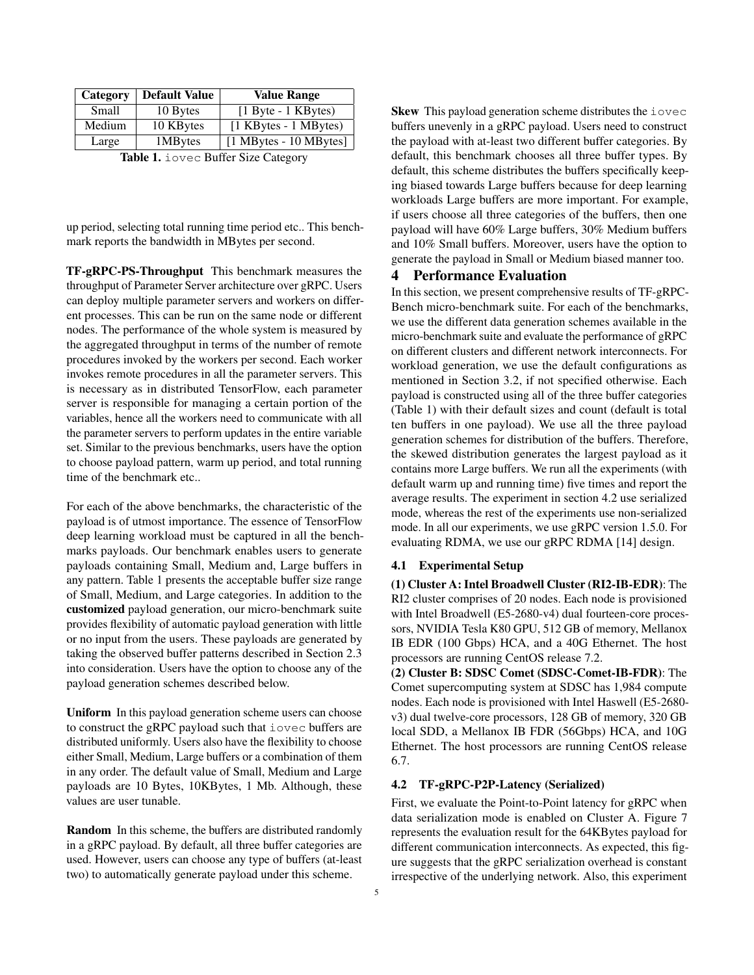| Category | <b>Default Value</b> | <b>Value Range</b>                   |
|----------|----------------------|--------------------------------------|
| Small    | 10 Bytes             | $[1 \text{Byte} - 1 \text{ KBytes}]$ |
| Medium   | 10 KBytes            | [1 KBytes - 1 MBytes)                |
| Large    | 1MBytes              | $[1$ MBytes - 10 MBytes]             |

Table 1. iovec Buffer Size Category

up period, selecting total running time period etc.. This benchmark reports the bandwidth in MBytes per second.

TF-gRPC-PS-Throughput This benchmark measures the throughput of Parameter Server architecture over gRPC. Users can deploy multiple parameter servers and workers on different processes. This can be run on the same node or different nodes. The performance of the whole system is measured by the aggregated throughput in terms of the number of remote procedures invoked by the workers per second. Each worker invokes remote procedures in all the parameter servers. This is necessary as in distributed TensorFlow, each parameter server is responsible for managing a certain portion of the variables, hence all the workers need to communicate with all the parameter servers to perform updates in the entire variable set. Similar to the previous benchmarks, users have the option to choose payload pattern, warm up period, and total running time of the benchmark etc..

For each of the above benchmarks, the characteristic of the payload is of utmost importance. The essence of TensorFlow deep learning workload must be captured in all the benchmarks payloads. Our benchmark enables users to generate payloads containing Small, Medium and, Large buffers in any pattern. Table 1 presents the acceptable buffer size range of Small, Medium, and Large categories. In addition to the customized payload generation, our micro-benchmark suite provides flexibility of automatic payload generation with little or no input from the users. These payloads are generated by taking the observed buffer patterns described in Section 2.3 into consideration. Users have the option to choose any of the payload generation schemes described below.

Uniform In this payload generation scheme users can choose to construct the gRPC payload such that iovec buffers are distributed uniformly. Users also have the flexibility to choose either Small, Medium, Large buffers or a combination of them in any order. The default value of Small, Medium and Large payloads are 10 Bytes, 10KBytes, 1 Mb. Although, these values are user tunable.

Random In this scheme, the buffers are distributed randomly in a gRPC payload. By default, all three buffer categories are used. However, users can choose any type of buffers (at-least two) to automatically generate payload under this scheme.

Skew This payload generation scheme distributes the iovec buffers unevenly in a gRPC payload. Users need to construct the payload with at-least two different buffer categories. By default, this benchmark chooses all three buffer types. By default, this scheme distributes the buffers specifically keeping biased towards Large buffers because for deep learning workloads Large buffers are more important. For example, if users choose all three categories of the buffers, then one payload will have 60% Large buffers, 30% Medium buffers and 10% Small buffers. Moreover, users have the option to generate the payload in Small or Medium biased manner too.

# 4 Performance Evaluation

In this section, we present comprehensive results of TF-gRPC-Bench micro-benchmark suite. For each of the benchmarks, we use the different data generation schemes available in the micro-benchmark suite and evaluate the performance of gRPC on different clusters and different network interconnects. For workload generation, we use the default configurations as mentioned in Section 3.2, if not specified otherwise. Each payload is constructed using all of the three buffer categories (Table 1) with their default sizes and count (default is total ten buffers in one payload). We use all the three payload generation schemes for distribution of the buffers. Therefore, the skewed distribution generates the largest payload as it contains more Large buffers. We run all the experiments (with default warm up and running time) five times and report the average results. The experiment in section 4.2 use serialized mode, whereas the rest of the experiments use non-serialized mode. In all our experiments, we use gRPC version 1.5.0. For evaluating RDMA, we use our gRPC RDMA [14] design.

#### 4.1 Experimental Setup

(1) Cluster A: Intel Broadwell Cluster (RI2-IB-EDR): The RI2 cluster comprises of 20 nodes. Each node is provisioned with Intel Broadwell (E5-2680-v4) dual fourteen-core processors, NVIDIA Tesla K80 GPU, 512 GB of memory, Mellanox IB EDR (100 Gbps) HCA, and a 40G Ethernet. The host processors are running CentOS release 7.2.

(2) Cluster B: SDSC Comet (SDSC-Comet-IB-FDR): The Comet supercomputing system at SDSC has 1,984 compute nodes. Each node is provisioned with Intel Haswell (E5-2680 v3) dual twelve-core processors, 128 GB of memory, 320 GB local SDD, a Mellanox IB FDR (56Gbps) HCA, and 10G Ethernet. The host processors are running CentOS release 6.7.

#### 4.2 TF-gRPC-P2P-Latency (Serialized)

First, we evaluate the Point-to-Point latency for gRPC when data serialization mode is enabled on Cluster A. Figure 7 represents the evaluation result for the 64KBytes payload for different communication interconnects. As expected, this figure suggests that the gRPC serialization overhead is constant irrespective of the underlying network. Also, this experiment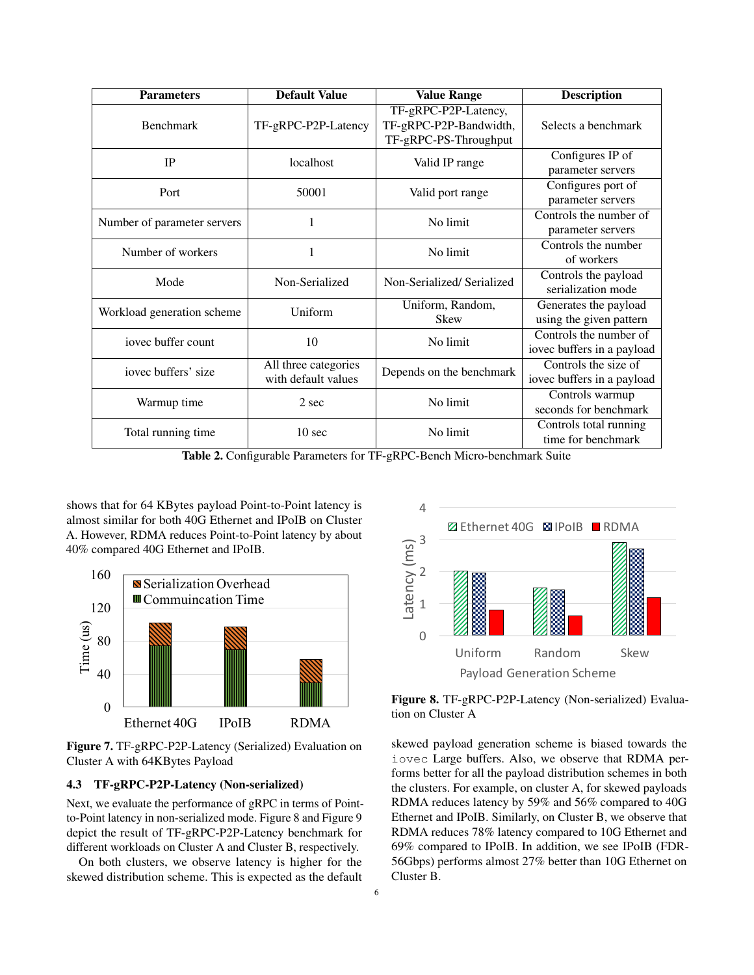| <b>Parameters</b>           | <b>Default Value</b>                        | <b>Value Range</b>                                                      | <b>Description</b>                                   |
|-----------------------------|---------------------------------------------|-------------------------------------------------------------------------|------------------------------------------------------|
| <b>Benchmark</b>            | TF-gRPC-P2P-Latency                         | TF-gRPC-P2P-Latency,<br>TF-gRPC-P2P-Bandwidth,<br>TF-gRPC-PS-Throughput | Selects a benchmark                                  |
| IP                          | localhost                                   | Valid IP range                                                          | Configures IP of<br>parameter servers                |
| Port                        | 50001                                       | Valid port range                                                        | Configures port of<br>parameter servers              |
| Number of parameter servers | 1                                           | No limit                                                                | Controls the number of<br>parameter servers          |
| Number of workers           | 1                                           | No limit                                                                | Controls the number<br>of workers                    |
| Mode                        | Non-Serialized                              | Non-Serialized/Serialized                                               | Controls the payload<br>serialization mode           |
| Workload generation scheme  | Uniform                                     | Uniform, Random,<br><b>Skew</b>                                         | Generates the payload<br>using the given pattern     |
| jovec buffer count          | 10                                          | No limit                                                                | Controls the number of<br>iovec buffers in a payload |
| iovec buffers' size         | All three categories<br>with default values | Depends on the benchmark                                                | Controls the size of<br>iovec buffers in a payload   |
| Warmup time                 | 2 sec                                       | No limit                                                                | Controls warmup<br>seconds for benchmark             |
| Total running time          | 10 <sub>sec</sub>                           | No limit                                                                | Controls total running<br>time for benchmark         |

Table 2. Configurable Parameters for TF-gRPC-Bench Micro-benchmark Suite

shows that for 64 KBytes payload Point-to-Point latency is almost similar for both 40G Ethernet and IPoIB on Cluster A. However, RDMA reduces Point-to-Point latency by about 40% compared 40G Ethernet and IPoIB.



Figure 7. TF-gRPC-P2P-Latency (Serialized) Evaluation on Cluster A with 64KBytes Payload

# 4.3 TF-gRPC-P2P-Latency (Non-serialized)

Next, we evaluate the performance of gRPC in terms of Pointto-Point latency in non-serialized mode. Figure 8 and Figure 9 depict the result of TF-gRPC-P2P-Latency benchmark for different workloads on Cluster A and Cluster B, respectively.

On both clusters, we observe latency is higher for the skewed distribution scheme. This is expected as the default



Figure 8. TF-gRPC-P2P-Latency (Non-serialized) Evaluation on Cluster A

skewed payload generation scheme is biased towards the iovec Large buffers. Also, we observe that RDMA performs better for all the payload distribution schemes in both the clusters. For example, on cluster A, for skewed payloads RDMA reduces latency by 59% and 56% compared to 40G Ethernet and IPoIB. Similarly, on Cluster B, we observe that RDMA reduces 78% latency compared to 10G Ethernet and 69% compared to IPoIB. In addition, we see IPoIB (FDR-56Gbps) performs almost 27% better than 10G Ethernet on Cluster B.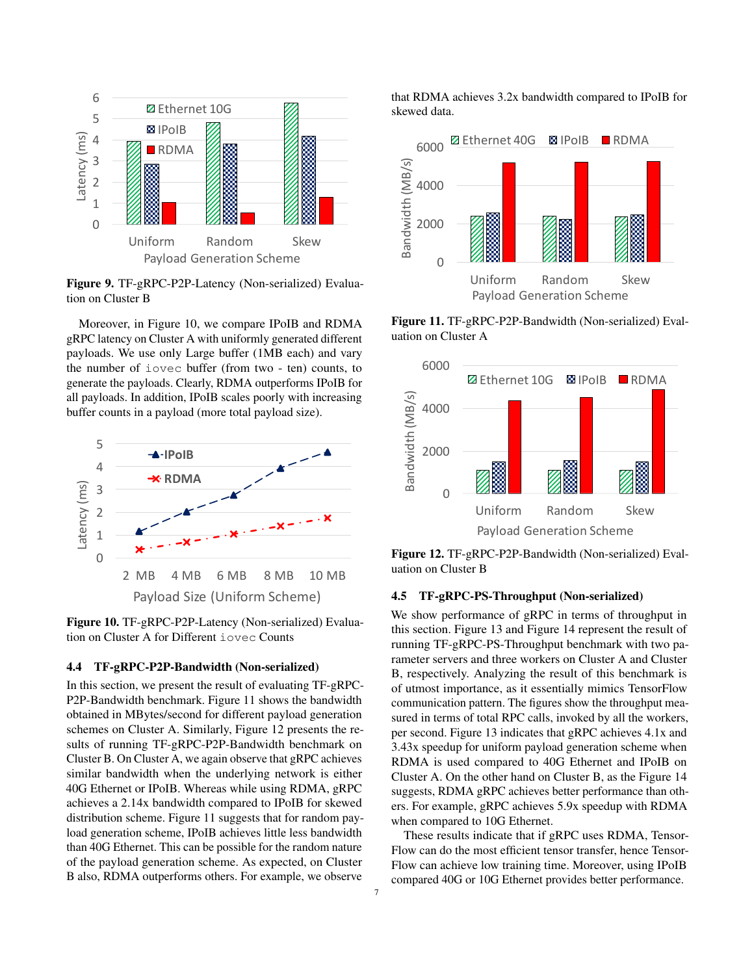

Figure 9. TF-gRPC-P2P-Latency (Non-serialized) Evaluation on Cluster B

Moreover, in Figure 10, we compare IPoIB and RDMA gRPC latency on Cluster A with uniformly generated different payloads. We use only Large buffer (1MB each) and vary the number of iovec buffer (from two - ten) counts, to generate the payloads. Clearly, RDMA outperforms IPoIB for all payloads. In addition, IPoIB scales poorly with increasing buffer counts in a payload (more total payload size).



Figure 10. TF-gRPC-P2P-Latency (Non-serialized) Evaluation on Cluster A for Different iovec Counts

#### 4.4 TF-gRPC-P2P-Bandwidth (Non-serialized)

In this section, we present the result of evaluating TF-gRPC-P2P-Bandwidth benchmark. Figure 11 shows the bandwidth obtained in MBytes/second for different payload generation schemes on Cluster A. Similarly, Figure 12 presents the results of running TF-gRPC-P2P-Bandwidth benchmark on Cluster B. On Cluster A, we again observe that gRPC achieves similar bandwidth when the underlying network is either 40G Ethernet or IPoIB. Whereas while using RDMA, gRPC achieves a 2.14x bandwidth compared to IPoIB for skewed distribution scheme. Figure 11 suggests that for random payload generation scheme, IPoIB achieves little less bandwidth than 40G Ethernet. This can be possible for the random nature of the payload generation scheme. As expected, on Cluster B also, RDMA outperforms others. For example, we observe

that RDMA achieves 3.2x bandwidth compared to IPoIB for skewed data.



Figure 11. TF-gRPC-P2P-Bandwidth (Non-serialized) Evaluation on Cluster A



Figure 12. TF-gRPC-P2P-Bandwidth (Non-serialized) Evaluation on Cluster B

## 4.5 TF-gRPC-PS-Throughput (Non-serialized)

We show performance of gRPC in terms of throughput in this section. Figure 13 and Figure 14 represent the result of running TF-gRPC-PS-Throughput benchmark with two parameter servers and three workers on Cluster A and Cluster B, respectively. Analyzing the result of this benchmark is of utmost importance, as it essentially mimics TensorFlow communication pattern. The figures show the throughput measured in terms of total RPC calls, invoked by all the workers, per second. Figure 13 indicates that gRPC achieves 4.1x and 3.43x speedup for uniform payload generation scheme when RDMA is used compared to 40G Ethernet and IPoIB on Cluster A. On the other hand on Cluster B, as the Figure 14 suggests, RDMA gRPC achieves better performance than others. For example, gRPC achieves 5.9x speedup with RDMA when compared to 10G Ethernet.

These results indicate that if gRPC uses RDMA, Tensor-Flow can do the most efficient tensor transfer, hence Tensor-Flow can achieve low training time. Moreover, using IPoIB compared 40G or 10G Ethernet provides better performance.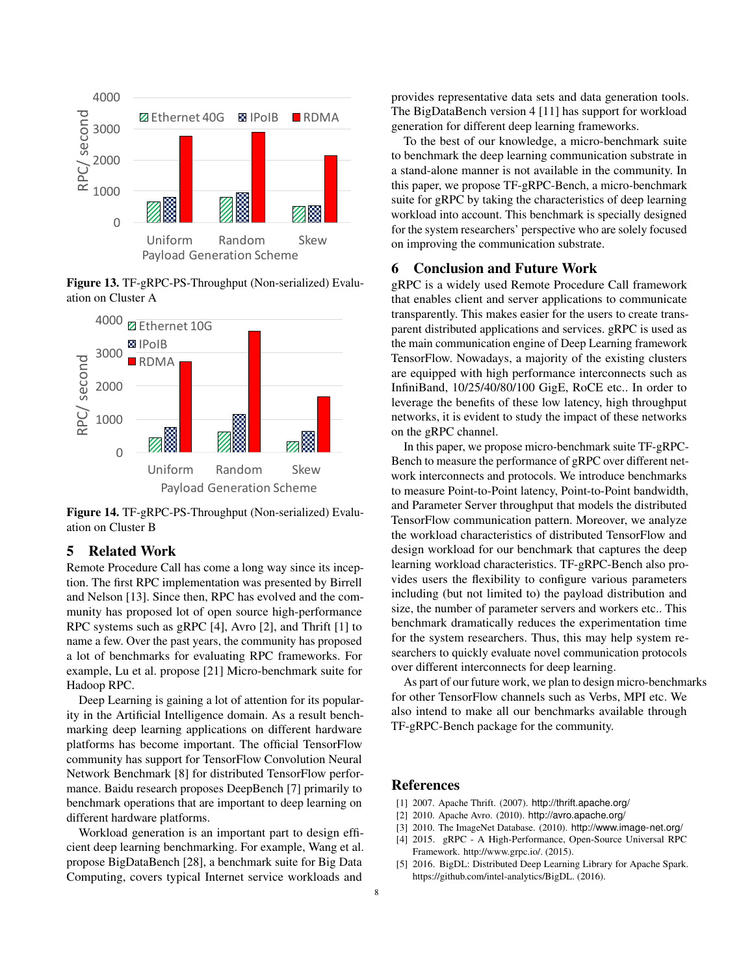

Figure 13. TF-gRPC-PS-Throughput (Non-serialized) Evaluation on Cluster A



Figure 14. TF-gRPC-PS-Throughput (Non-serialized) Evaluation on Cluster B

# 5 Related Work

Remote Procedure Call has come a long way since its inception. The first RPC implementation was presented by Birrell and Nelson [13]. Since then, RPC has evolved and the community has proposed lot of open source high-performance RPC systems such as gRPC [4], Avro [2], and Thrift [1] to name a few. Over the past years, the community has proposed a lot of benchmarks for evaluating RPC frameworks. For example, Lu et al. propose [21] Micro-benchmark suite for Hadoop RPC.

Deep Learning is gaining a lot of attention for its popularity in the Artificial Intelligence domain. As a result benchmarking deep learning applications on different hardware platforms has become important. The official TensorFlow community has support for TensorFlow Convolution Neural Network Benchmark [8] for distributed TensorFlow performance. Baidu research proposes DeepBench [7] primarily to benchmark operations that are important to deep learning on different hardware platforms.

Workload generation is an important part to design efficient deep learning benchmarking. For example, Wang et al. propose BigDataBench [28], a benchmark suite for Big Data Computing, covers typical Internet service workloads and

provides representative data sets and data generation tools. The BigDataBench version 4 [11] has support for workload generation for different deep learning frameworks.

To the best of our knowledge, a micro-benchmark suite to benchmark the deep learning communication substrate in a stand-alone manner is not available in the community. In this paper, we propose TF-gRPC-Bench, a micro-benchmark suite for gRPC by taking the characteristics of deep learning workload into account. This benchmark is specially designed for the system researchers' perspective who are solely focused on improving the communication substrate.

#### 6 Conclusion and Future Work

gRPC is a widely used Remote Procedure Call framework that enables client and server applications to communicate transparently. This makes easier for the users to create transparent distributed applications and services. gRPC is used as the main communication engine of Deep Learning framework TensorFlow. Nowadays, a majority of the existing clusters are equipped with high performance interconnects such as InfiniBand, 10/25/40/80/100 GigE, RoCE etc.. In order to leverage the benefits of these low latency, high throughput networks, it is evident to study the impact of these networks on the gRPC channel.

In this paper, we propose micro-benchmark suite TF-gRPC-Bench to measure the performance of gRPC over different network interconnects and protocols. We introduce benchmarks to measure Point-to-Point latency, Point-to-Point bandwidth, and Parameter Server throughput that models the distributed TensorFlow communication pattern. Moreover, we analyze the workload characteristics of distributed TensorFlow and design workload for our benchmark that captures the deep learning workload characteristics. TF-gRPC-Bench also provides users the flexibility to configure various parameters including (but not limited to) the payload distribution and size, the number of parameter servers and workers etc.. This benchmark dramatically reduces the experimentation time for the system researchers. Thus, this may help system researchers to quickly evaluate novel communication protocols over different interconnects for deep learning.

As part of our future work, we plan to design micro-benchmarks for other TensorFlow channels such as Verbs, MPI etc. We also intend to make all our benchmarks available through TF-gRPC-Bench package for the community.

#### References

- [1] 2007. Apache Thrift. (2007). http://thrift.apache.org/
- [2] 2010. Apache Avro. (2010). http://avro.apache.org/
- [3] 2010. The ImageNet Database. (2010). http://www.image-net.org/
- [4] 2015. gRPC A High-Performance, Open-Source Universal RPC Framework. http://www.grpc.io/. (2015).
- [5] 2016. BigDL: Distributed Deep Learning Library for Apache Spark. https://github.com/intel-analytics/BigDL. (2016).